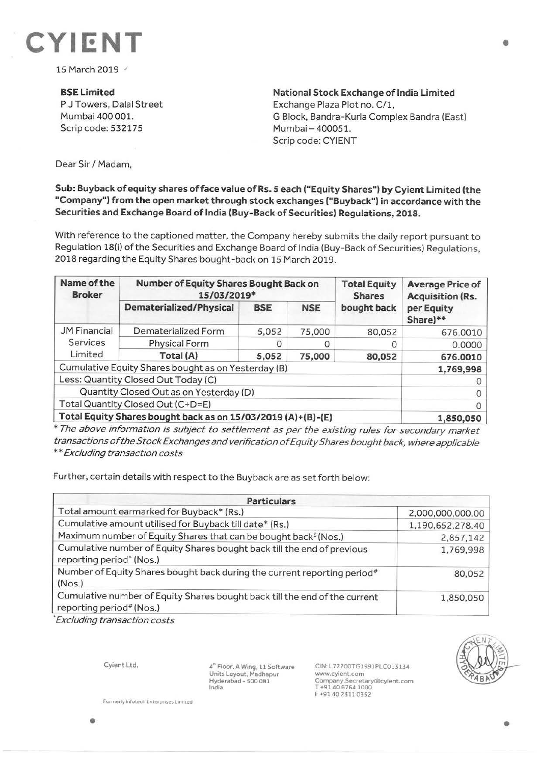

15 March 2019 /

**BSELimited**  P J Towers, Dalal Street Mumbai 400 001. Scrip code: 532175

**National Stock Exchange of India Limited**  Exchange Plaza Plot no. C/1, G Block, Bandra-Kurla Complex Bandra (East) Mumbai- 400051. Scrip code: CYIENT

Dear Sir/ Madam,

## **Sub: Buyback of equity shares off ace value of Rs. 5 each ("Equity Shares") by Cyient Limited (the "Company") from the open market through stock exchanges ("Buyback") in accordance with the Securities and Exchange Board of India (Buy-Back of Securities) Regulations, 2018.**

With reference to the captioned matter, the Company hereby submits the daily report pursuant to Regulation 18(i) of the Securities and Exchange Board of India (Buy-Back of Securities) Regulations, 2018 regarding the Equity Shares bought-back on 15 March 2019.

| Name of the<br><b>Broker</b>                                 | Number of Equity Shares Bought Back on<br>15/03/2019* |            |            | <b>Total Equity</b><br><b>Shares</b> | <b>Average Price of</b><br><b>Acquisition (Rs.</b> |
|--------------------------------------------------------------|-------------------------------------------------------|------------|------------|--------------------------------------|----------------------------------------------------|
|                                                              | Dematerialized/Physical                               | <b>BSE</b> | <b>NSE</b> | bought back                          | per Equity<br>Share)**                             |
| <b>JM Financial</b><br>Services<br>Limited                   | Dematerialized Form                                   | 5,052      | 75,000     | 80,052                               | 676.0010                                           |
|                                                              | Physical Form                                         |            |            |                                      | 0.0000                                             |
|                                                              | Total (A)                                             | 5,052      | 75,000     | 80,052                               | 676.0010                                           |
| Cumulative Equity Shares bought as on Yesterday (B)          |                                                       |            |            |                                      | 1,769,998                                          |
| Less: Quantity Closed Out Today (C)                          |                                                       |            |            |                                      |                                                    |
| Quantity Closed Out as on Yesterday (D)                      |                                                       |            |            |                                      |                                                    |
| Total Quantity Closed Out (C+D=E)                            |                                                       |            |            |                                      |                                                    |
| Total Equity Shares bought back as on 15/03/2019 (A)+(B)-(E) |                                                       |            |            |                                      | 1,850,050                                          |

\* The above information is subject to settlement as per the existing rules for secondary market transactions of the Stock Exchanges and verification of Equity Shares bought back, where applicable \*\*Excluding transaction costs

Further, certain details with respect to the Buyback are as set forth below:

| <b>Particulars</b>                                                                                                 |                  |  |  |  |
|--------------------------------------------------------------------------------------------------------------------|------------------|--|--|--|
| Total amount earmarked for Buyback* (Rs.)                                                                          | 2,000,000,000.00 |  |  |  |
| Cumulative amount utilised for Buyback till date* (Rs.)                                                            | 1,190,652,278.40 |  |  |  |
| Maximum number of Equity Shares that can be bought back <sup>\$</sup> (Nos.)                                       | 2,857,142        |  |  |  |
| Cumulative number of Equity Shares bought back till the end of previous<br>reporting period <sup>^</sup> (Nos.)    | 1,769,998        |  |  |  |
| Number of Equity Shares bought back during the current reporting period <sup>#</sup><br>(Nos.)                     | 80,052           |  |  |  |
| Cumulative number of Equity Shares bought back till the end of the current<br>reporting period <sup>#</sup> (Nos.) | 1,850,050        |  |  |  |

"Excluding transaction costs

Cyient Ltd.

4~ Floor, A Wing, 11 Software Units Layout, Madhapur Hyderabad - 500 081 India

CIN: L72200TG1991PLC013134 www.cyient.com Company.Secretary®cyient.com T +9140 6764 1000 F +91402311 0352



•

**Formerly infotech Enterprises Limited**